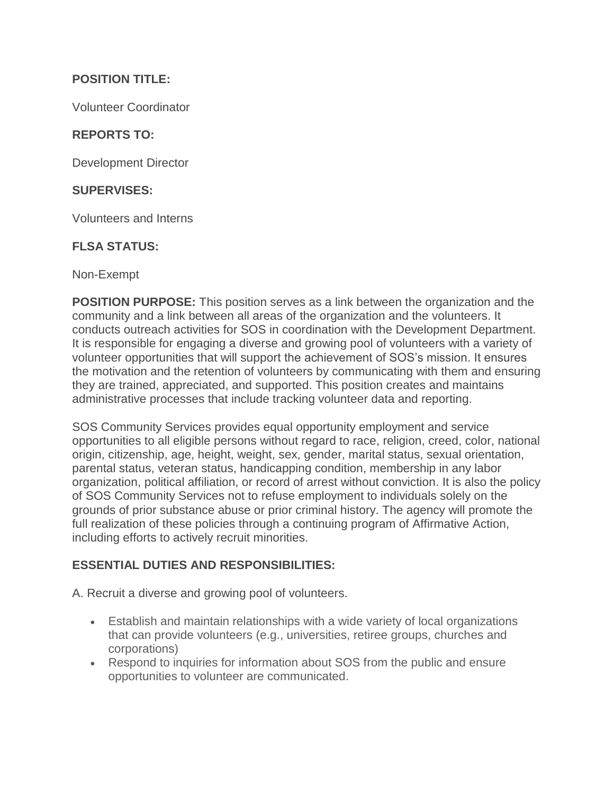# **POSITION TITLE:**

Volunteer Coordinator

# **REPORTS TO:**

Development Director

#### **SUPERVISES:**

Volunteers and Interns

#### **FLSA STATUS:**

Non-Exempt

**POSITION PURPOSE:** This position serves as a link between the organization and the community and a link between all areas of the organization and the volunteers. It conducts outreach activities for SOS in coordination with the Development Department. It is responsible for engaging a diverse and growing pool of volunteers with a variety of volunteer opportunities that will support the achievement of SOS's mission. It ensures the motivation and the retention of volunteers by communicating with them and ensuring they are trained, appreciated, and supported. This position creates and maintains administrative processes that include tracking volunteer data and reporting.

SOS Community Services provides equal opportunity employment and service opportunities to all eligible persons without regard to race, religion, creed, color, national origin, citizenship, age, height, weight, sex, gender, marital status, sexual orientation, parental status, veteran status, handicapping condition, membership in any labor organization, political affiliation, or record of arrest without conviction. It is also the policy of SOS Community Services not to refuse employment to individuals solely on the grounds of prior substance abuse or prior criminal history. The agency will promote the full realization of these policies through a continuing program of Affirmative Action, including efforts to actively recruit minorities.

## **ESSENTIAL DUTIES AND RESPONSIBILITIES:**

A. Recruit a diverse and growing pool of volunteers.

- Establish and maintain relationships with a wide variety of local organizations that can provide volunteers (e.g., universities, retiree groups, churches and corporations)
- Respond to inquiries for information about SOS from the public and ensure opportunities to volunteer are communicated.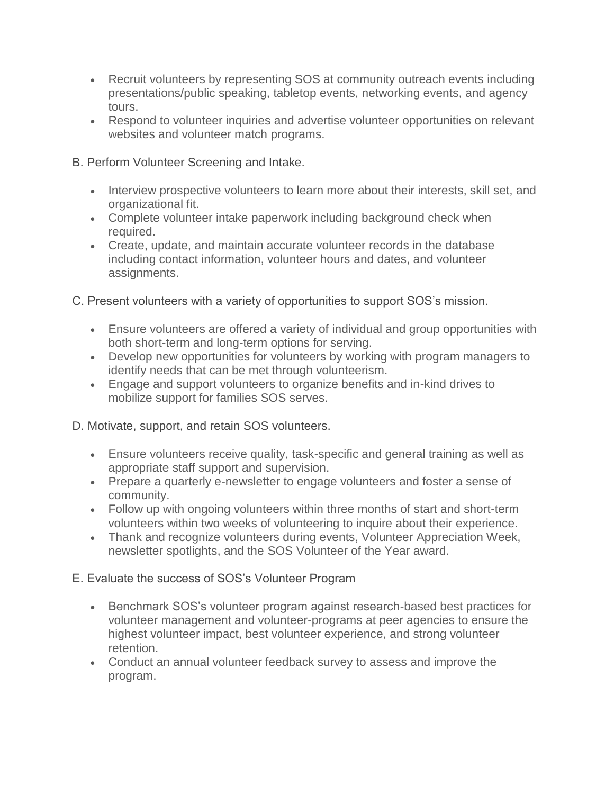- Recruit volunteers by representing SOS at community outreach events including presentations/public speaking, tabletop events, networking events, and agency tours.
- Respond to volunteer inquiries and advertise volunteer opportunities on relevant websites and volunteer match programs.

B. Perform Volunteer Screening and Intake.

- Interview prospective volunteers to learn more about their interests, skill set, and organizational fit.
- Complete volunteer intake paperwork including background check when required.
- Create, update, and maintain accurate volunteer records in the database including contact information, volunteer hours and dates, and volunteer assignments.

C. Present volunteers with a variety of opportunities to support SOS's mission.

- Ensure volunteers are offered a variety of individual and group opportunities with both short-term and long-term options for serving.
- Develop new opportunities for volunteers by working with program managers to identify needs that can be met through volunteerism.
- Engage and support volunteers to organize benefits and in-kind drives to mobilize support for families SOS serves.

D. Motivate, support, and retain SOS volunteers.

- Ensure volunteers receive quality, task-specific and general training as well as appropriate staff support and supervision.
- Prepare a quarterly e-newsletter to engage volunteers and foster a sense of community.
- Follow up with ongoing volunteers within three months of start and short-term volunteers within two weeks of volunteering to inquire about their experience.
- Thank and recognize volunteers during events, Volunteer Appreciation Week, newsletter spotlights, and the SOS Volunteer of the Year award.

E. Evaluate the success of SOS's Volunteer Program

- Benchmark SOS's volunteer program against research-based best practices for volunteer management and volunteer-programs at peer agencies to ensure the highest volunteer impact, best volunteer experience, and strong volunteer retention.
- Conduct an annual volunteer feedback survey to assess and improve the program.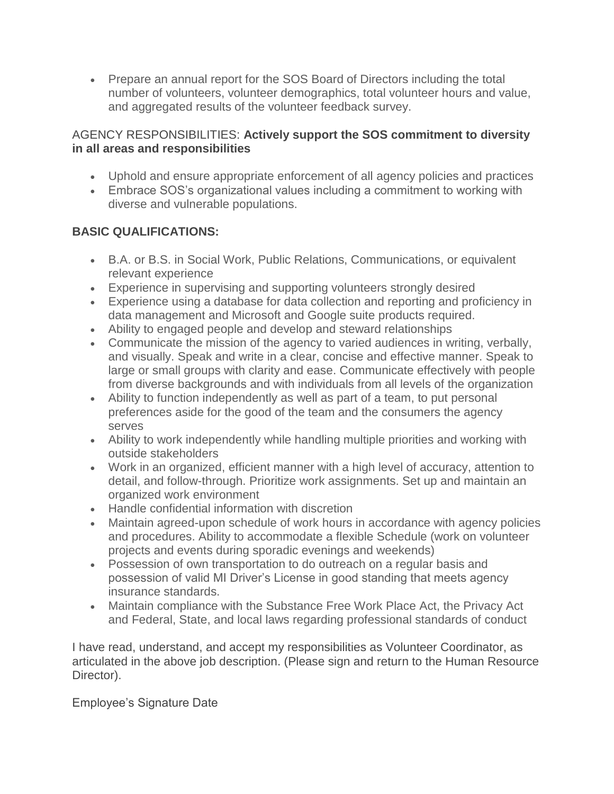• Prepare an annual report for the SOS Board of Directors including the total number of volunteers, volunteer demographics, total volunteer hours and value, and aggregated results of the volunteer feedback survey.

## AGENCY RESPONSIBILITIES: **Actively support the SOS commitment to diversity in all areas and responsibilities**

- Uphold and ensure appropriate enforcement of all agency policies and practices
- Embrace SOS's organizational values including a commitment to working with diverse and vulnerable populations.

# **BASIC QUALIFICATIONS:**

- B.A. or B.S. in Social Work, Public Relations, Communications, or equivalent relevant experience
- Experience in supervising and supporting volunteers strongly desired
- Experience using a database for data collection and reporting and proficiency in data management and Microsoft and Google suite products required.
- Ability to engaged people and develop and steward relationships
- Communicate the mission of the agency to varied audiences in writing, verbally, and visually. Speak and write in a clear, concise and effective manner. Speak to large or small groups with clarity and ease. Communicate effectively with people from diverse backgrounds and with individuals from all levels of the organization
- Ability to function independently as well as part of a team, to put personal preferences aside for the good of the team and the consumers the agency serves
- Ability to work independently while handling multiple priorities and working with outside stakeholders
- Work in an organized, efficient manner with a high level of accuracy, attention to detail, and follow-through. Prioritize work assignments. Set up and maintain an organized work environment
- Handle confidential information with discretion
- Maintain agreed-upon schedule of work hours in accordance with agency policies and procedures. Ability to accommodate a flexible Schedule (work on volunteer projects and events during sporadic evenings and weekends)
- Possession of own transportation to do outreach on a regular basis and possession of valid MI Driver's License in good standing that meets agency insurance standards.
- Maintain compliance with the Substance Free Work Place Act, the Privacy Act and Federal, State, and local laws regarding professional standards of conduct

I have read, understand, and accept my responsibilities as Volunteer Coordinator, as articulated in the above job description. (Please sign and return to the Human Resource Director).

Employee's Signature Date